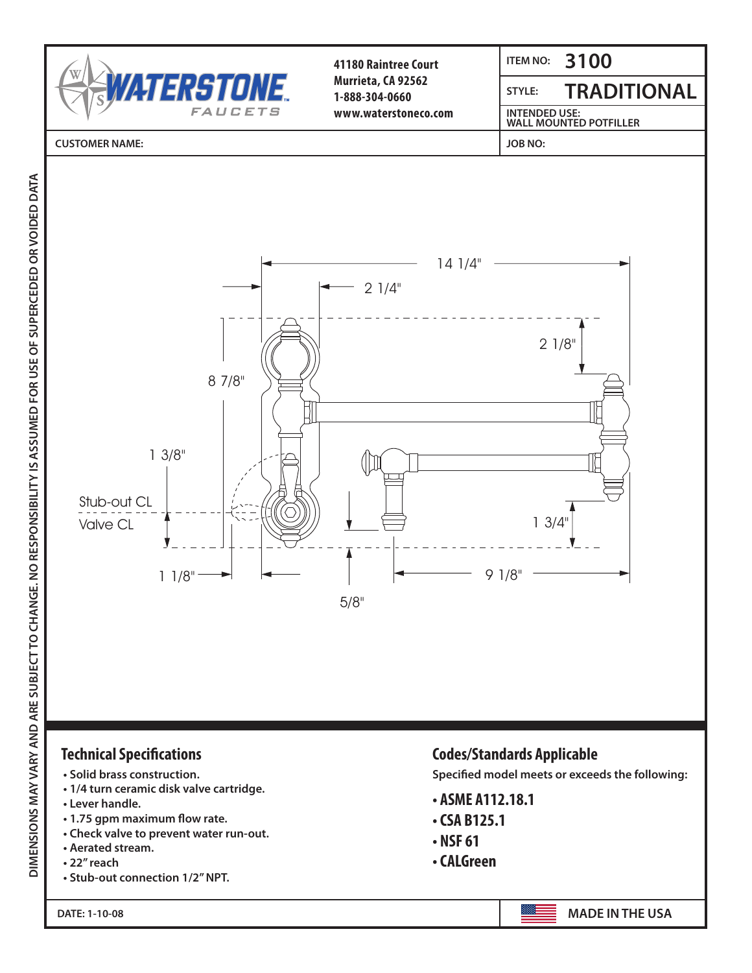

- **Aerated stream.**
- **22" reach**
- **Stub-out connection 1/2" NPT.**

**DATE: 1-10-08**

- **NSF 61**
- **CALGreen**

AIE: 1-10-08 **Made in the U.S.A.**<br>Alternative and the U.S.A. Alternative and the U.S.A. Alternative and the U.S.A. Alternative and the U.S.A. Alternative and the U.S.A. Alternative and the U.S.A. Alternative and the U.S.A. **MADE IN THE USA**